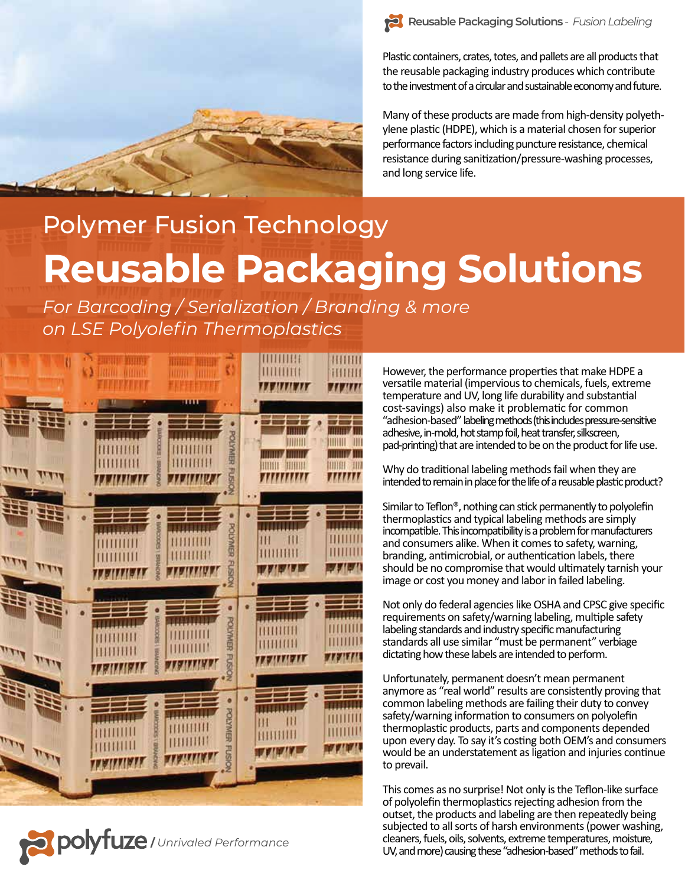



Plastic containers, crates, totes, and pallets are all products that the reusable packaging industry produces which contribute to the investment of a circular and sustainable economy and future.

Many of these products are made from high-density polyethylene plastic (HDPE), which is a material chosen for superior performance factors including puncture resistance, chemical resistance during sanitization/pressure-washing processes, and long service life.

# Polymer Fusion Technology **Reusable Packaging Solutions**

*For Barcoding / Serialization / Branding & more on LSE Polyolefin Thermoplastics*





However, the performance properties that make HDPE a versatile material (impervious to chemicals, fuels, extreme temperature and UV, long life durability and substantial cost-savings) also make it problema�c for common "adhesion-based" labeling methods (this includes pressure-sensitive adhesive, in-mold, hot stamp foil, heat transfer, silkscreen, pad-printing) that are intended to be on the product for life use.

Why do traditional labeling methods fail when they are intended to remain in place for the life of a reusable plastic product?

Similar to Teflon<sup>®</sup>, nothing can stick permanently to polyolefin thermoplastics and typical labeling methods are simply incompatible. This incompatibility is a problem for manufacturers and consumers alike. When it comes to safety, warning, branding, antimicrobial, or authentication labels, there should be no compromise that would ultimately tarnish your image or cost you money and labor in failed labeling.

Not only do federal agencies like OSHA and CPSC give specific requirements on safety/warning labeling, multiple safety labeling standards and industry specific manufacturing standards all use similar "must be permanent" verbiage dictating how these labels are intended to perform.

Unfortunately, permanent doesn't mean permanent anymore as "real world" results are consistently proving that common labeling methods are failing their duty to convey safety/warning information to consumers on polyolefin thermoplas�c products, parts and components depended upon every day. To say it's costing both OEM's and consumers would be an understatement as ligation and injuries continue to prevail.

This comes as no surprise! Not only is the Teflon-like surface of polyolefin thermoplastics rejecting adhesion from the outset, the products and labeling are then repeatedly being subjected to all sorts of harsh environments (power washing, cleaners, fuels, oils, solvents, extreme temperatures, moisture, UV, and more) causing these "adhesion-based" methods to fail.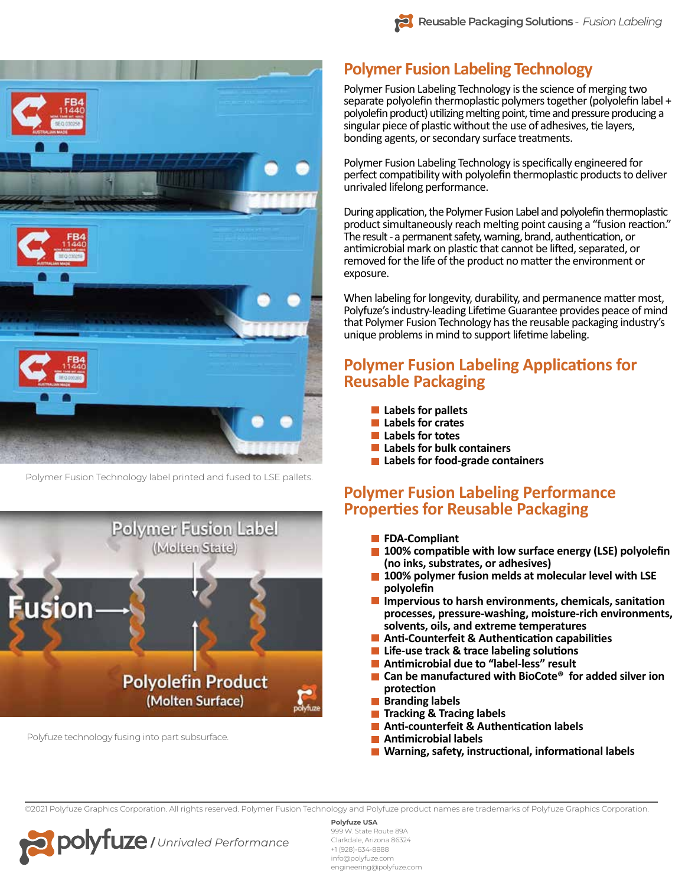



Polymer Fusion Technology label printed and fused to LSE pallets.



Polyfuze technology fusing into part subsurface.

# **Polymer Fusion Labeling Technology**

Polymer Fusion Labeling Technology is the science of merging two separate polyolefin thermoplastic polymers together (polyolefin label + polyolefin product) utilizing melting point, time and pressure producing a singular piece of plastic without the use of adhesives, tie layers, bonding agents, or secondary surface treatments.

Polymer Fusion Labeling Technology is specifically engineered for perfect compatibility with polyolefin thermoplastic products to deliver unrivaled lifelong performance.

During application, the Polymer Fusion Label and polyolefin thermoplastic product simultaneously reach melting point causing a "fusion reaction." The result - a permanent safety, warning, brand, authentication, or antimicrobial mark on plastic that cannot be lifted, separated, or removed for the life of the product no matter the environment or exposure.

When labeling for longevity, durability, and permanence matter most, Polyfuze's industry-leading Lifetime Guarantee provides peace of mind that Polymer Fusion Technology has the reusable packaging industry's unique problems in mind to support lifetime labeling.

## **Polymer Fusion Labeling Applications for Reusable Packaging**

- **Labels for pallets**
- **Labels for crates**
- **Labels for totes**
- **Labels for bulk containers**
- **Labels for food-grade containers**

## **Polymer Fusion Labeling Performance Proper�es for Reusable Packaging**

- **FDA-Compliant**
- $\blacksquare$  **100% compatible with low surface energy (LSE) polyolefin (no inks, substrates, or adhesives)**
- **100% polymer fusion melds at molecular level with LSE polyolefin**
- $\blacksquare$  Impervious to harsh environments, chemicals, sanitation  **processes, pressure-washing, moisture-rich environments, solvents, oils, and extreme temperatures**
- **Anti-Counterfeit & Authentication capabilities**
- **E** Life-use track & trace labeling solutions
- **Antimicrobial due to "label-less" result**
- Can be manufactured with BioCote<sup>®</sup> for added silver ion  **protec�on**
- **Branding labels**
- **Tracking & Tracing labels**
- **Anti-counterfeit & Authentication labels**
- **An�microbial labels**
- **Marning, safety, instructional, informational labels**

©2021 Polyfuze Graphics Corporation. All rights reserved. Polymer Fusion Technology and Polyfuze product names are trademarks of Polyfuze Graphics Corporation.



#### **Polyfuze USA**

999 W. State Route 89A Clarkdale, Arizona 86324 +1 (928)-634-8888 info@polyfuze.com engineering@polyfuze.com